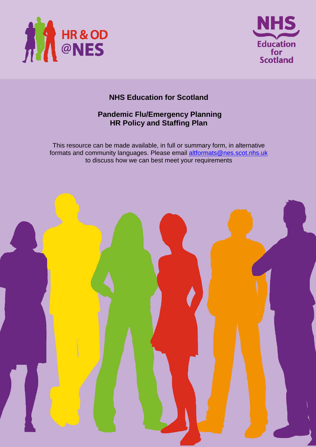



# **NHS Education for Scotland**

# **Pandemic Flu/Emergency Planning HR Policy and Staffing Plan**

This resource can be made available, in full or summary form, in alternative formats and community languages. Please email altformats@nes.scot.nhs.uk to discuss how we can best meet your requirements

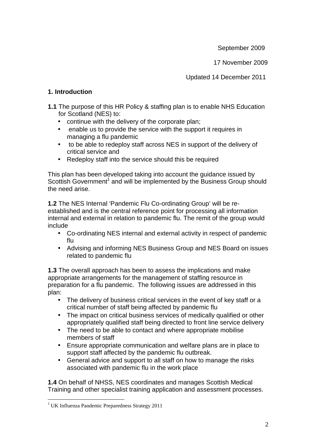September 2009

17 November 2009

Updated 14 December 2011

# **1. Introduction**

- **1.1** The purpose of this HR Policy & staffing plan is to enable NHS Education for Scotland (NES) to:
	- continue with the delivery of the corporate plan;
	- enable us to provide the service with the support it requires in managing a flu pandemic
	- to be able to redeploy staff across NES in support of the delivery of critical service and
	- Redeploy staff into the service should this be required

This plan has been developed taking into account the guidance issued by Scottish Government<sup>1</sup> and will be implemented by the Business Group should the need arise.

**1.2** The NES Internal 'Pandemic Flu Co-ordinating Group' will be reestablished and is the central reference point for processing all information internal and external in relation to pandemic flu. The remit of the group would include

- Co-ordinating NES internal and external activity in respect of pandemic flu
- Advising and informing NES Business Group and NES Board on issues related to pandemic flu

**1.3** The overall approach has been to assess the implications and make appropriate arrangements for the management of staffing resource in preparation for a flu pandemic. The following issues are addressed in this plan:

- The delivery of business critical services in the event of key staff or a critical number of staff being affected by pandemic flu
- The impact on critical business services of medically qualified or other appropriately qualified staff being directed to front line service delivery
- The need to be able to contact and where appropriate mobilise members of staff
- Ensure appropriate communication and welfare plans are in place to support staff affected by the pandemic flu outbreak.
- General advice and support to all staff on how to manage the risks associated with pandemic flu in the work place

**1.4** On behalf of NHSS, NES coordinates and manages Scottish Medical Training and other specialist training application and assessment processes.

 $\overline{a}$ 

<sup>&</sup>lt;sup>1</sup> UK Influenza Pandemic Preparedness Strategy 2011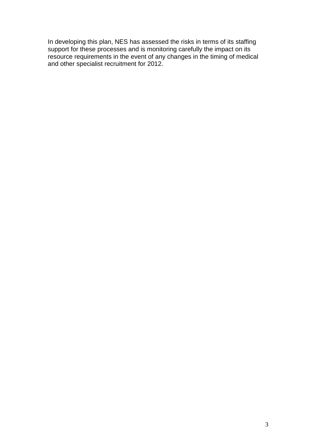In developing this plan, NES has assessed the risks in terms of its staffing support for these processes and is monitoring carefully the impact on its resource requirements in the event of any changes in the timing of medical and other specialist recruitment for 2012.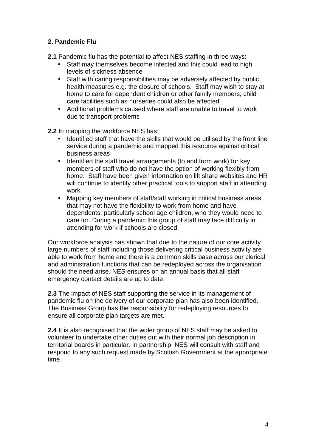# **2. Pandemic Flu**

- **2.1** Pandemic flu has the potential to affect NES staffing in three ways:
	- Staff may themselves become infected and this could lead to high levels of sickness absence
	- Staff with caring responsibilities may be adversely affected by public health measures e.g. the closure of schools. Staff may wish to stay at home to care for dependent children or other family members; child care facilities such as nurseries could also be affected
	- Additional problems caused where staff are unable to travel to work due to transport problems

**2.2** In mapping the workforce NES has:

- Identified staff that have the skills that would be utilised by the front line service during a pandemic and mapped this resource against critical business areas
- Identified the staff travel arrangements (to and from work) for key members of staff who do not have the option of working flexibly from home. Staff have been given information on lift share websites and HR will continue to identify other practical tools to support staff in attending work.
- Mapping key members of staff/staff working in critical business areas that may not have the flexibility to work from home and have dependents, particularly school age children, who they would need to care for. During a pandemic this group of staff may face difficulty in attending for work if schools are closed.

Our workforce analysis has shown that due to the nature of our core activity large numbers of staff including those delivering critical business activity are able to work from home and there is a common skills base across our clerical and administration functions that can be redeployed across the organisation should the need arise. NES ensures on an annual basis that all staff emergency contact details are up to date.

**2.3** The impact of NES staff supporting the service in its management of pandemic flu on the delivery of our corporate plan has also been identified. The Business Group has the responsibility for redeploying resources to ensure all corporate plan targets are met.

**2.4** It is also recognised that the wider group of NES staff may be asked to volunteer to undertake other duties out with their normal job description in territorial boards in particular. In partnership, NES will consult with staff and respond to any such request made by Scottish Government at the appropriate time.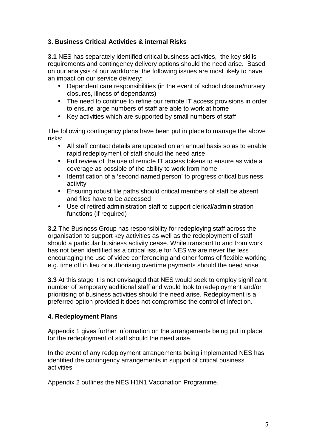# **3. Business Critical Activities & internal Risks**

**3.1** NES has separately identified critical business activities, the key skills requirements and contingency delivery options should the need arise. Based on our analysis of our workforce, the following issues are most likely to have an impact on our service delivery:

- Dependent care responsibilities (in the event of school closure/nursery closures, illness of dependants)
- The need to continue to refine our remote IT access provisions in order to ensure large numbers of staff are able to work at home
- Key activities which are supported by small numbers of staff

The following contingency plans have been put in place to manage the above risks:

- All staff contact details are updated on an annual basis so as to enable rapid redeployment of staff should the need arise
- Full review of the use of remote IT access tokens to ensure as wide a coverage as possible of the ability to work from home
- Identification of a 'second named person' to progress critical business activity
- Ensuring robust file paths should critical members of staff be absent and files have to be accessed
- Use of retired administration staff to support clerical/administration functions (if required)

**3.2** The Business Group has responsibility for redeploying staff across the organisation to support key activities as well as the redeployment of staff should a particular business activity cease. While transport to and from work has not been identified as a critical issue for NES we are never the less encouraging the use of video conferencing and other forms of flexible working e.g. time off in lieu or authorising overtime payments should the need arise.

**3.3** At this stage it is not envisaged that NES would seek to employ significant number of temporary additional staff and would look to redeployment and/or prioritising of business activities should the need arise. Redeployment is a preferred option provided it does not compromise the control of infection.

# **4. Redeployment Plans**

Appendix 1 gives further information on the arrangements being put in place for the redeployment of staff should the need arise.

In the event of any redeployment arrangements being implemented NES has identified the contingency arrangements in support of critical business activities.

Appendix 2 outlines the NES H1N1 Vaccination Programme.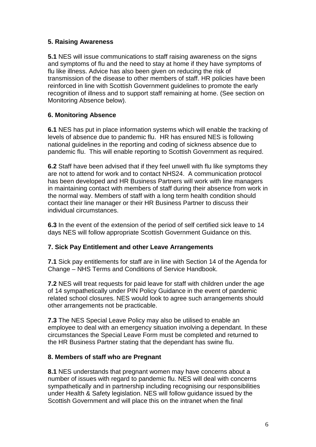### **5. Raising Awareness**

**5.1** NES will issue communications to staff raising awareness on the signs and symptoms of flu and the need to stay at home if they have symptoms of flu like illness. Advice has also been given on reducing the risk of transmission of the disease to other members of staff. HR policies have been reinforced in line with Scottish Government guidelines to promote the early recognition of illness and to support staff remaining at home. (See section on Monitoring Absence below).

# **6. Monitoring Absence**

**6.1** NES has put in place information systems which will enable the tracking of levels of absence due to pandemic flu. HR has ensured NES is following national guidelines in the reporting and coding of sickness absence due to pandemic flu. This will enable reporting to Scottish Government as required.

**6.2** Staff have been advised that if they feel unwell with flu like symptoms they are not to attend for work and to contact NHS24. A communication protocol has been developed and HR Business Partners will work with line managers in maintaining contact with members of staff during their absence from work in the normal way. Members of staff with a long term health condition should contact their line manager or their HR Business Partner to discuss their individual circumstances.

**6.3** In the event of the extension of the period of self certified sick leave to 14 days NES will follow appropriate Scottish Government Guidance on this.

#### **7. Sick Pay Entitlement and other Leave Arrangements**

**7.1** Sick pay entitlements for staff are in line with Section 14 of the Agenda for Change – NHS Terms and Conditions of Service Handbook.

**7.2** NES will treat requests for paid leave for staff with children under the age of 14 sympathetically under PIN Policy Guidance in the event of pandemic related school closures. NES would look to agree such arrangements should other arrangements not be practicable.

**7.3** The NES Special Leave Policy may also be utilised to enable an employee to deal with an emergency situation involving a dependant. In these circumstances the Special Leave Form must be completed and returned to the HR Business Partner stating that the dependant has swine flu.

#### **8. Members of staff who are Pregnant**

**8.1** NES understands that pregnant women may have concerns about a number of issues with regard to pandemic flu. NES will deal with concerns sympathetically and in partnership including recognising our responsibilities under Health & Safety legislation. NES will follow guidance issued by the Scottish Government and will place this on the intranet when the final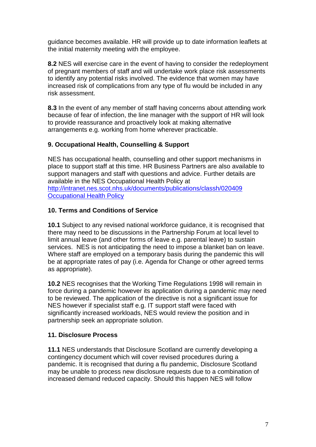guidance becomes available. HR will provide up to date information leaflets at the initial maternity meeting with the employee.

**8.2** NES will exercise care in the event of having to consider the redeployment of pregnant members of staff and will undertake work place risk assessments to identify any potential risks involved. The evidence that women may have increased risk of complications from any type of flu would be included in any risk assessment.

**8.3** In the event of any member of staff having concerns about attending work because of fear of infection, the line manager with the support of HR will look to provide reassurance and proactively look at making alternative arrangements e.g. working from home wherever practicable.

# **9. Occupational Health, Counselling & Support**

NES has occupational health, counselling and other support mechanisms in place to support staff at this time. HR Business Partners are also available to support managers and staff with questions and advice. Further details are available in the NES Occupational Health Policy at http://intranet.nes.scot.nhs.uk/documents/publications/classh/020409 Occupational Health Policy

# **10. Terms and Conditions of Service**

**10.1** Subject to any revised national workforce guidance, it is recognised that there may need to be discussions in the Partnership Forum at local level to limit annual leave (and other forms of leave e.g. parental leave) to sustain services. NES is not anticipating the need to impose a blanket ban on leave. Where staff are employed on a temporary basis during the pandemic this will be at appropriate rates of pay (i.e. Agenda for Change or other agreed terms as appropriate).

**10.2** NES recognises that the Working Time Regulations 1998 will remain in force during a pandemic however its application during a pandemic may need to be reviewed. The application of the directive is not a significant issue for NES however if specialist staff e.g. IT support staff were faced with significantly increased workloads, NES would review the position and in partnership seek an appropriate solution.

# **11. Disclosure Process**

**11.1** NES understands that Disclosure Scotland are currently developing a contingency document which will cover revised procedures during a pandemic. It is recognised that during a flu pandemic, Disclosure Scotland may be unable to process new disclosure requests due to a combination of increased demand reduced capacity. Should this happen NES will follow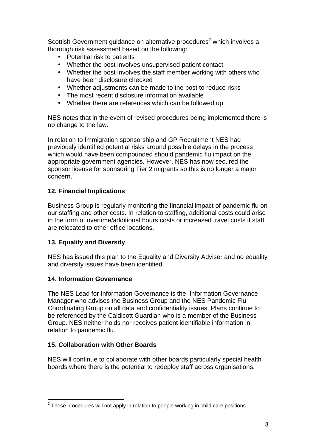Scottish Government guidance on alternative procedures<sup>2</sup> which involves a thorough risk assessment based on the following:

- Potential risk to patients
- Whether the post involves unsupervised patient contact
- Whether the post involves the staff member working with others who have been disclosure checked
- Whether adjustments can be made to the post to reduce risks
- The most recent disclosure information available
- Whether there are references which can be followed up

NES notes that in the event of revised procedures being implemented there is no change to the law.

In relation to Immigration sponsorship and GP Recruitment NES had previously identified potential risks around possible delays in the process which would have been compounded should pandemic flu impact on the appropriate government agencies. However, NES has now secured the sponsor license for sponsoring Tier 2 migrants so this is no longer a major concern.

# **12. Financial Implications**

Business Group is regularly monitoring the financial impact of pandemic flu on our staffing and other costs. In relation to staffing, additional costs could arise in the form of overtime/additional hours costs or increased travel costs if staff are relocated to other office locations.

# **13. Equality and Diversity**

NES has issued this plan to the Equality and Diversity Adviser and no equality and diversity issues have been identified.

# **14. Information Governance**

The NES Lead for Information Governance is the Information Governance Manager who advises the Business Group and the NES Pandemic Flu Coordinating Group on all data and confidentiality issues. Plans continue to be referenced by the Caldicott Guardian who is a member of the Business Group. NES neither holds nor receives patient identifiable information in relation to pandemic flu.

# **15. Collaboration with Other Boards**

NES will continue to collaborate with other boards particularly special health boards where there is the potential to redeploy staff across organisations.

 $\overline{\phantom{a}}$  $2$  These procedures will not apply in relation to people working in child care positions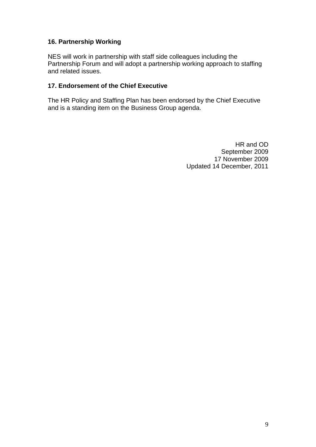### **16. Partnership Working**

NES will work in partnership with staff side colleagues including the Partnership Forum and will adopt a partnership working approach to staffing and related issues.

#### **17. Endorsement of the Chief Executive**

The HR Policy and Staffing Plan has been endorsed by the Chief Executive and is a standing item on the Business Group agenda.

> HR and OD September 2009 17 November 2009 Updated 14 December, 2011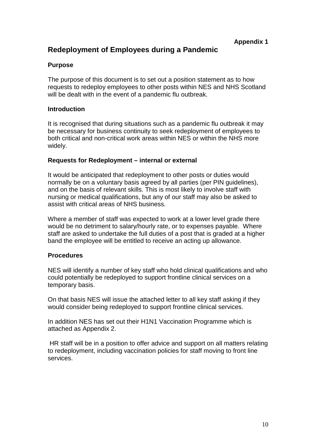# **Redeployment of Employees during a Pandemic**

### **Purpose**

The purpose of this document is to set out a position statement as to how requests to redeploy employees to other posts within NES and NHS Scotland will be dealt with in the event of a pandemic flu outbreak.

### **Introduction**

It is recognised that during situations such as a pandemic flu outbreak it may be necessary for business continuity to seek redeployment of employees to both critical and non-critical work areas within NES or within the NHS more widely.

#### **Requests for Redeployment – internal or external**

It would be anticipated that redeployment to other posts or duties would normally be on a voluntary basis agreed by all parties (per PIN guidelines), and on the basis of relevant skills. This is most likely to involve staff with nursing or medical qualifications, but any of our staff may also be asked to assist with critical areas of NHS business.

Where a member of staff was expected to work at a lower level grade there would be no detriment to salary/hourly rate, or to expenses payable. Where staff are asked to undertake the full duties of a post that is graded at a higher band the employee will be entitled to receive an acting up allowance.

#### **Procedures**

NES will identify a number of key staff who hold clinical qualifications and who could potentially be redeployed to support frontline clinical services on a temporary basis.

On that basis NES will issue the attached letter to all key staff asking if they would consider being redeployed to support frontline clinical services.

In addition NES has set out their H1N1 Vaccination Programme which is attached as Appendix 2.

 HR staff will be in a position to offer advice and support on all matters relating to redeployment, including vaccination policies for staff moving to front line services.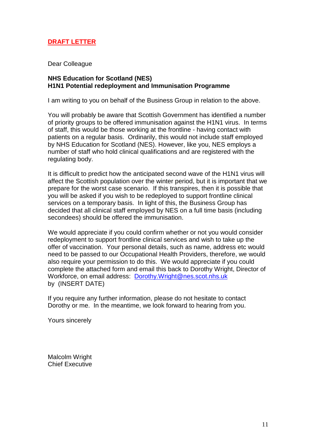# **DRAFT LETTER**

Dear Colleague

#### **NHS Education for Scotland (NES) H1N1 Potential redeployment and Immunisation Programme**

I am writing to you on behalf of the Business Group in relation to the above.

You will probably be aware that Scottish Government has identified a number of priority groups to be offered immunisation against the H1N1 virus. In terms of staff, this would be those working at the frontline - having contact with patients on a regular basis. Ordinarily, this would not include staff employed by NHS Education for Scotland (NES). However, like you, NES employs a number of staff who hold clinical qualifications and are registered with the regulating body.

It is difficult to predict how the anticipated second wave of the H1N1 virus will affect the Scottish population over the winter period, but it is important that we prepare for the worst case scenario. If this transpires, then it is possible that you will be asked if you wish to be redeployed to support frontline clinical services on a temporary basis. In light of this, the Business Group has decided that all clinical staff employed by NES on a full time basis (including secondees) should be offered the immunisation.

We would appreciate if you could confirm whether or not you would consider redeployment to support frontline clinical services and wish to take up the offer of vaccination. Your personal details, such as name, address etc would need to be passed to our Occupational Health Providers, therefore, we would also require your permission to do this. We would appreciate if you could complete the attached form and email this back to Dorothy Wright, Director of Workforce, on email address: Dorothy.Wright@nes.scot.nhs.uk by (INSERT DATE)

If you require any further information, please do not hesitate to contact Dorothy or me. In the meantime, we look forward to hearing from you.

Yours sincerely

Malcolm Wright Chief Executive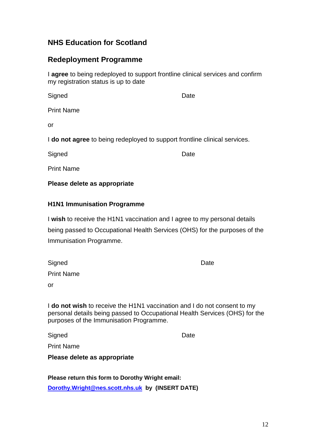# **NHS Education for Scotland**

# **Redeployment Programme**

I **agree** to being redeployed to support frontline clinical services and confirm my registration status is up to date

| Signed                                                                     | Date |  |
|----------------------------------------------------------------------------|------|--|
| <b>Print Name</b>                                                          |      |  |
| or                                                                         |      |  |
| I do not agree to being redeployed to support frontline clinical services. |      |  |
| Signed                                                                     | Date |  |
|                                                                            |      |  |

Print Name

**Please delete as appropriate** 

### **H1N1 Immunisation Programme**

I **wish** to receive the H1N1 vaccination and I agree to my personal details being passed to Occupational Health Services (OHS) for the purposes of the Immunisation Programme.

| Signed            | Date |
|-------------------|------|
| <b>Print Name</b> |      |
| .or               |      |

I **do not wish** to receive the H1N1 vaccination and I do not consent to my personal details being passed to Occupational Health Services (OHS) for the purposes of the Immunisation Programme.

Signed Date

Print Name

**Please delete as appropriate** 

**Please return this form to Dorothy Wright email: Dorothy.Wright@nes.scott.nhs.uk by (INSERT DATE)**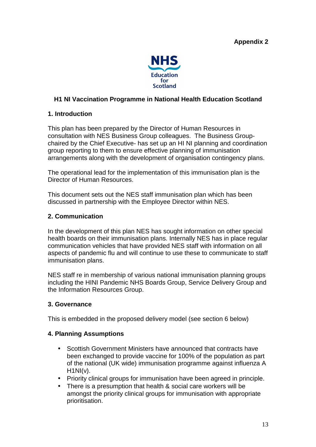

# **H1 NI Vaccination Programme in National Health Education Scotland**

# **1. Introduction**

This plan has been prepared by the Director of Human Resources in consultation with NES Business Group colleagues. The Business Groupchaired by the Chief Executive- has set up an HI NI planning and coordination group reporting to them to ensure effective planning of immunisation arrangements along with the development of organisation contingency plans.

The operational lead for the implementation of this immunisation plan is the Director of Human Resources.

This document sets out the NES staff immunisation plan which has been discussed in partnership with the Employee Director within NES.

### **2. Communication**

In the development of this plan NES has sought information on other special health boards on their immunisation plans. Internally NES has in place regular communication vehicles that have provided NES staff with information on all aspects of pandemic flu and will continue to use these to communicate to staff immunisation plans.

NES staff re in membership of various national immunisation planning groups including the HINI Pandemic NHS Boards Group, Service Delivery Group and the Information Resources Group.

#### **3. Governance**

This is embedded in the proposed delivery model (see section 6 below)

# **4. Planning Assumptions**

- Scottish Government Ministers have announced that contracts have been exchanged to provide vaccine for 100% of the population as part of the national (UK wide) immunisation programme against influenza A  $H1NI(v)$ .
- Priority clinical groups for immunisation have been agreed in principle.
- There is a presumption that health & social care workers will be amongst the priority clinical groups for immunisation with appropriate prioritisation.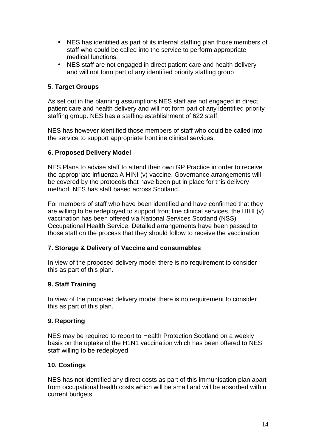- NES has identified as part of its internal staffing plan those members of staff who could be called into the service to perform appropriate medical functions.
- NES staff are not engaged in direct patient care and health delivery and will not form part of any identified priority staffing group

# **5**. **Target Groups**

As set out in the planning assumptions NES staff are not engaged in direct patient care and health delivery and will not form part of any identified priority staffing group. NES has a staffing establishment of 622 staff.

NES has however identified those members of staff who could be called into the service to support appropriate frontline clinical services.

# **6. Proposed Delivery Model**

NES Plans to advise staff to attend their own GP Practice in order to receive the appropriate influenza A HINI (v) vaccine. Governance arrangements will be covered by the protocols that have been put in place for this delivery method. NES has staff based across Scotland.

For members of staff who have been identified and have confirmed that they are willing to be redeployed to support front line clinical services, the HIHI (v) vaccination has been offered via National Services Scotland (NSS) Occupational Health Service. Detailed arrangements have been passed to those staff on the process that they should follow to receive the vaccination

# **7. Storage & Delivery of Vaccine and consumables**

In view of the proposed delivery model there is no requirement to consider this as part of this plan.

# **9. Staff Training**

In view of the proposed delivery model there is no requirement to consider this as part of this plan.

#### **9. Reporting**

NES may be required to report to Health Protection Scotland on a weekly basis on the uptake of the H1N1 vaccination which has been offered to NES staff willing to be redeployed.

#### **10. Costings**

NES has not identified any direct costs as part of this immunisation plan apart from occupational health costs which will be small and will be absorbed within current budgets.